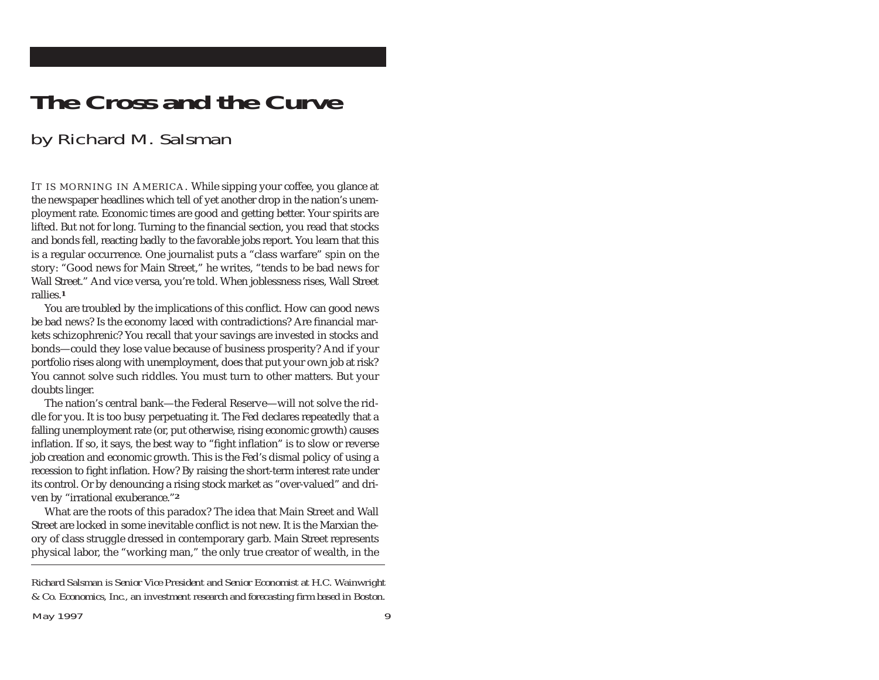## **The Cross and the Curve**

## by Richard M. Salsman

IT IS MORNING IN AMERICA. While sipping your coffee, you glance at the newspaper headlines which tell of yet another drop in the nation's unemployment rate. Economic times are good and getting better. Your spirits are lifted. But not for long. Turning to the financial section, you read that stocks and bonds fell, reacting badly to the favorable jobs report. You learn that this is a regular occurrence. One journalist puts a "class warfare" spin on the story: "Good news for Main Street," he writes, "tends to be bad news for Wall Street." And vice versa, you're told. When joblessness rises, Wall Street rallies.**<sup>1</sup>**

You are troubled by the implications of this conflict. How can good news be bad news? Is the economy laced with contradictions? Are financial markets schizophrenic? You recall that your savings are invested in stocks and bonds—could they lose value because of business prosperity? And if your portfolio rises along with unemployment, does that put your own job at risk? You cannot solve such riddles. You must turn to other matters. But your doubts linger.

The nation's central bank—the Federal Reserve—will not solve the riddle for you. It is too busy perpetuating it. The Fed declares repeatedly that a falling unemployment rate (or, put otherwise, rising economic growth) causes inflation. If so, it says, the best way to "fight inflation" is to slow or reverse job creation and economic growth. This is the Fed's dismal policy of using a recession to fight inflation. How? By raising the short-term interest rate under its control. Or by denouncing a rising stock market as "over-valued" and driven by "irrational exuberance."**<sup>2</sup>**

What are the roots of this paradox? The idea that Main Street and Wall Street are locked in some inevitable conflict is not new. It is the Marxian theory of class struggle dressed in contemporary garb. Main Street represents physical labor, the "working man," the only true creator of wealth, in the

*Richard Salsman is Senior Vice President and Senior Economist at H.C. Wainwright & Co. Economics, Inc., an investment research and forecasting firm based in Boston.*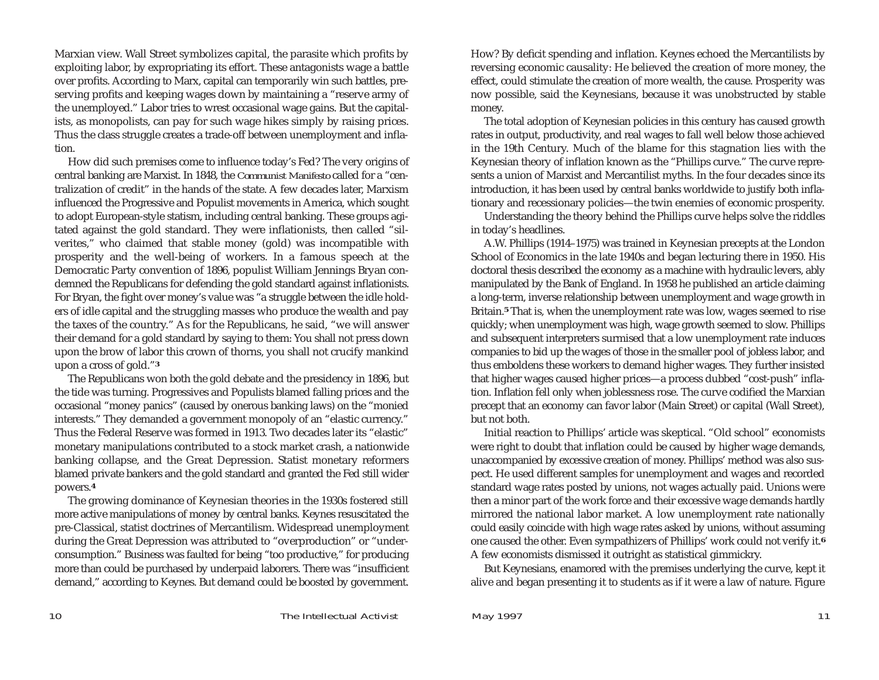Marxian view. Wall Street symbolizes capital, the parasite which profits by exploiting labor, by expropriating its effort. These antagonists wage a battle over profits. According to Marx, capital can temporarily win such battles, preserving profits and keeping wages down by maintaining a "reserve army of the unemployed." Labor tries to wrest occasional wage gains. But the capitalists, as monopolists, can pay for such wage hikes simply by raising prices. Thus the class struggle creates a trade-off between unemployment and inflation.

How did such premises come to influence today's Fed? The very origins of central banking are Marxist. In 1848, the *Communist Manifesto* called for a "centralization of credit" in the hands of the state. A few decades later, Marxism influenced the Progressive and Populist movements in America, which sought to adopt European-style statism, including central banking. These groups agitated against the gold standard. They were inflationists, then called "silverites," who claimed that stable money (gold) was incompatible with prosperity and the well-being of workers. In a famous speech at the Democratic Party convention of 1896, populist William Jennings Bryan condemned the Republicans for defending the gold standard against inflationists. For Bryan, the fight over money's value was "a struggle between the idle holders of idle capital and the struggling masses who produce the wealth and pay the taxes of the country." As for the Republicans, he said, "we will answer their demand for a gold standard by saying to them: You shall not press down upon the brow of labor this crown of thorns, you shall not crucify mankind upon a cross of gold."**<sup>3</sup>**

The Republicans won both the gold debate and the presidency in 1896, but the tide was turning. Progressives and Populists blamed falling prices and the occasional "money panics" (caused by onerous banking laws) on the "monied interests." They demanded a government monopoly of an "elastic currency." Thus the Federal Reserve was formed in 1913. Two decades later its "elastic" monetary manipulations contributed to a stock market crash, a nationwide banking collapse, and the Great Depression. Statist monetary reformers blamed private bankers and the gold standard and granted the Fed still wider powers.**<sup>4</sup>**

The growing dominance of Keynesian theories in the 1930s fostered still more active manipulations of money by central banks. Keynes resuscitated the pre-Classical, statist doctrines of Mercantilism. Widespread unemployment during the Great Depression was attributed to "overproduction" or "underconsumption." Business was faulted for being "too productive," for producing more than could be purchased by underpaid laborers. There was "insufficient demand," according to Keynes. But demand could be boosted by government. How? By deficit spending and inflation. Keynes echoed the Mercantilists by reversing economic causality: He believed the creation of more money, the effect, could stimulate the creation of more wealth, the cause. Prosperity was now possible, said the Keynesians, because it was unobstructed by stable money.

The total adoption of Keynesian policies in this century has caused growth rates in output, productivity, and real wages to fall well below those achieved in the 19th Century. Much of the blame for this stagnation lies with the Keynesian theory of inflation known as the "Phillips curve." The curve represents a union of Marxist and Mercantilist myths. In the four decades since its introduction, it has been used by central banks worldwide to justify both inflationary and recessionary policies—the twin enemies of economic prosperity.

Understanding the theory behind the Phillips curve helps solve the riddles in today's headlines.

A.W. Phillips (1914–1975) was trained in Keynesian precepts at the London School of Economics in the late 1940s and began lecturing there in 1950. His doctoral thesis described the economy as a machine with hydraulic levers, ably manipulated by the Bank of England. In 1958 he published an article claiming a long-term, inverse relationship between unemployment and wage growth in Britain.**<sup>5</sup>** That is, when the unemployment rate was low, wages seemed to rise quickly; when unemployment was high, wage growth seemed to slow. Phillips and subsequent interpreters surmised that a low unemployment rate induces companies to bid up the wages of those in the smaller pool of jobless labor, and thus emboldens these workers to demand higher wages. They further insisted that higher wages caused higher prices—a process dubbed "cost-push" inflation. Inflation fell only when joblessness rose. The curve codified the Marxian precept that an economy can favor labor (Main Street) or capital (Wall Street), but not both.

Initial reaction to Phillips' article was skeptical. "Old school" economists were right to doubt that inflation could be caused by higher wage demands, unaccompanied by excessive creation of money. Phillips' method was also suspect. He used different samples for unemployment and wages and recorded standard wage rates posted by unions, not wages actually paid. Unions were then a minor part of the work force and their excessive wage demands hardly mirrored the national labor market. A low unemployment rate nationally could easily coincide with high wage rates asked by unions, without assuming one caused the other. Even sympathizers of Phillips' work could not verify it.**<sup>6</sup>** A few economists dismissed it outright as statistical gimmickry.

But Keynesians, enamored with the premises underlying the curve, kept it alive and began presenting it to students as if it were a law of nature. Figure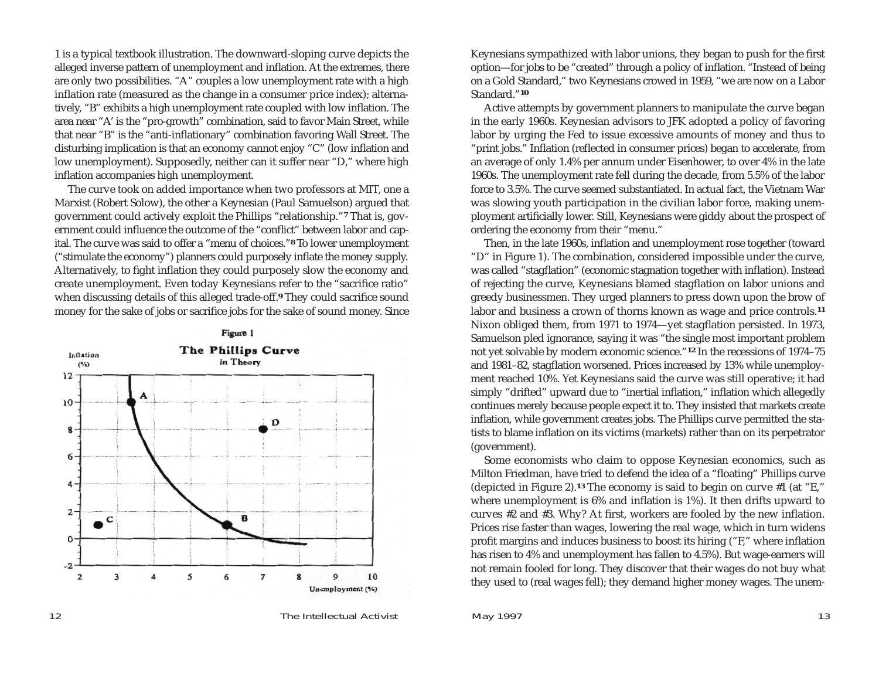1 is a typical textbook illustration. The downward-sloping curve depicts the alleged inverse pattern of unemployment and inflation. At the extremes, there are only two possibilities. "A" couples a low unemployment rate with a high inflation rate (measured as the change in a consumer price index); alterna tively, "B" exhibits a high unemployment rate coupled with low inflation. The area near "A' is the "pro-growth" combination, said to favor Main Street, while that near "B" is the "anti-inflationary" combination favoring Wall Street. The disturbing implication is that an economy cannot enjoy "C" (low inflation and low unemployment). Supposedly, neither can it suffer near "D," where high inflation accompanies high unemployment. The curve took on added importance when two professors at MIT, one a

Marxist (Robert Solow), the other a Keynesian (Paul Samuelson) argued that government could actively exploit the Phillips "relationship."**<sup>7</sup>** That is, gov ernment could influence the outcome of the "conflict" between labor and cap ital. The curve was said to offer a "menu of choices."**<sup>8</sup>** To lower unemployment ("stimulate the economy") planners could purposely inflate the money supply. Alternatively, to fight inflation they could purposely slow the economy and create unemployment. Even today Keynesians refer to the "sacrifice ratio" when discussing details of this alleged trade-off.**<sup>9</sup>** They could sacrifice sound money for the sake of jobs or sacrifice jobs for the sake of sound money. Since



Keynesians sympathized with labor unions, they began to push for the first option—for jobs to be "created" through a policy of inflation. "Instead of being on a Gold Standard," two Keynesians crowed in 1959, "we are now on a Labor Standard."**<sup>10</sup>**

Active attempts by government planners to manipulate the curve began in the early 1960s. Keynesian advisors to JFK adopted a policy of favoring labor by urging the Fed to issue excessive amounts of money and thus to "print jobs." Inflation (reflected in consumer prices) began to accelerate, from an average of only 1.4% per annum under Eisenhower, to over 4% in the late 1960s. The unemployment rate fell during the decade, from 5.5% of the labor force to 3.5%. The curve seemed substantiated. In actual fact, the Vietnam War was slowing youth participation in the civilian labor force, making unemployment artificially lower. Still, Keynesians were giddy about the prospect of ordering the economy from their "menu."

Then, in the late 1960s, inflation and unemployment rose together (toward "D" in Figure 1). The combination, considered impossible under the curve, was called "stagflation" (economic stagnation together with inflation). Instead of rejecting the curve, Keynesians blamed stagflation on labor unions and greedy businessmen. They urged planners to press down upon the brow of labor and business a crown of thorns known as wage and price controls.**<sup>11</sup>** Nixon obliged them, from 1971 to 1974—yet stagflation persisted. In 1973, Samuelson pled ignorance, saying it was "the single most important problem not yet solvable by modern economic science."**<sup>12</sup>** In the recessions of 1974–75 and 1981–82, stagflation worsened. Prices increased by 13% while unemployment reached 10%. Yet Keynesians said the curve was still operative; it had simply "drifted" upward due to "inertial inflation," inflation which allegedly continues merely because people expect it to. They insisted that markets create inflation, while government creates jobs. The Phillips curve permitted the statists to blame inflation on its victims (markets) rather than on its perpetrator (government).

Some economists who claim to oppose Keynesian economics, such as Milton Friedman, have tried to defend the idea of a "floating" Phillips curve (depicted in Figure 2).**<sup>13</sup>** The economy is said to begin on curve #1 (at "E," where unemployment is 6% and inflation is 1%). It then drifts upward to curves #2 and #3. Why? At first, workers are fooled by the new inflation. Prices rise faster than wages, lowering the real wage, which in turn widens profit margins and induces business to boost its hiring ("F," where inflation has risen to 4% and unemployment has fallen to 4.5%). But wage-earners will not remain fooled for long. They discover that their wages do not buy what they used to (real wages fell); they demand higher money wages. The unem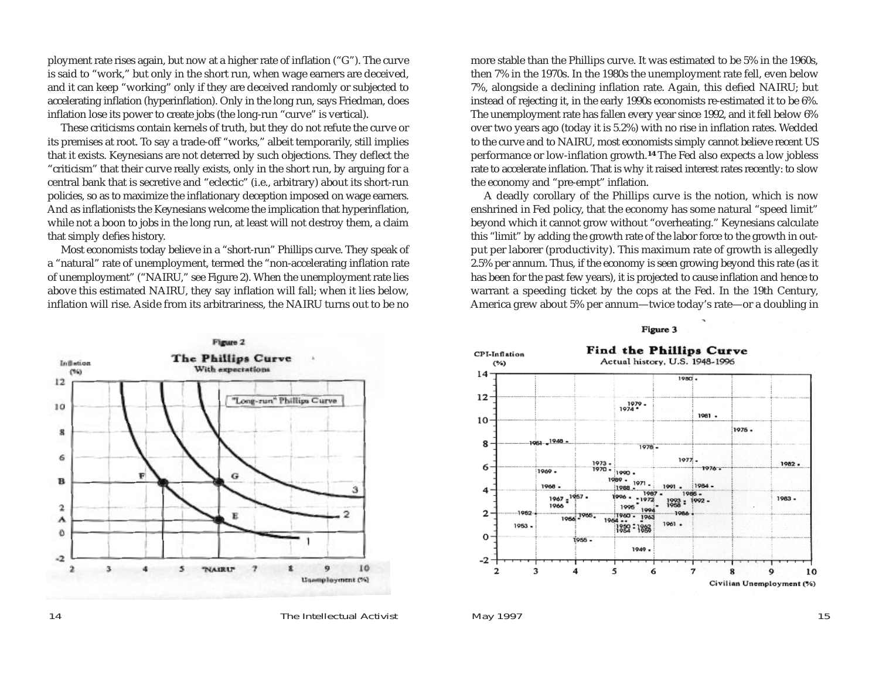ployment rate rises again, but now at a higher rate of inflation ("G"). The curve is said to "work," but only in the short run, when wage earners are deceived, and it can keep "working" only if they are deceived randomly or subjected to accelerating inflation (hyperinflation). Only in the long run, says Friedman, does inflation lose its power to create jobs (the long-run "curve" is vertical).

These criticisms contain kernels of truth, but they do not refute the curve or its premises at root. To say a trade-off "works," albeit temporarily, still implies that it exists. Keynesians are not deterred by such objections. They deflect the "criticism" that their curve really exists, only in the short run, by arguing for a central bank that is secretive and "eclectic" (i.e., arbitrary) about its short-run policies, so as to maximize the inflationary deception imposed on wage earners. And as inflationists the Keynesians welcome the implication that hyperinflation, while not a boon to jobs in the long run, at least will not destroy them, a claim that simply defies history.

Most economists today believe in a "short-run" Phillips curve. They speak of <sup>a</sup>"natural" rate of unemployment, termed the "non-accelerating inflation rate of unemployment" ("NAIRU," see Figure 2). When the unemployment rate lies above this estimated NAIRU, they say inflation will fall; when it lies below, inflation will rise. Aside from its arbitrariness, the NAIRU turns out to be no



more stable than the Phillips curve. It was estimated to be 5% in the 1960s, then 7% in the 1970s. In the 1980s the unemployment rate fell, even below 7%, alongside a declining inflation rate. Again, this defied NAIRU; but instead of rejecting it, in the early 1990s economists re-estimated it to be 6%. The unemployment rate has fallen every year since 1992, and it fell below 6% over two years ago (today it is 5.2%) with no rise in inflation rates. Wedded to the curve and to NAIRU, most economists simply cannot believe recent US performance or low-inflation growth.**<sup>14</sup>** The Fed also expects a low jobless rate to accelerate inflation. That is why it raised interest rates recently: to slow the economy and "pre-empt" inflation.

A deadly corollary of the Phillips curve is the notion, which is now enshrined in Fed policy, that the economy has some natural "speed limit" beyond which it cannot grow without "overheating." Keynesians calculate this "limit" by adding the growth rate of the labor force to the growth in output per laborer (productivity). This maximum rate of growth is allegedly 2.5% per annum. Thus, if the economy is seen growing beyond this rate (as it has been for the past few years), it is projected to cause inflation and hence to warrant a speeding ticket by the cops at the Fed. In the 19th Century, America grew about 5% per annum—twice today's rate—or a doubling in

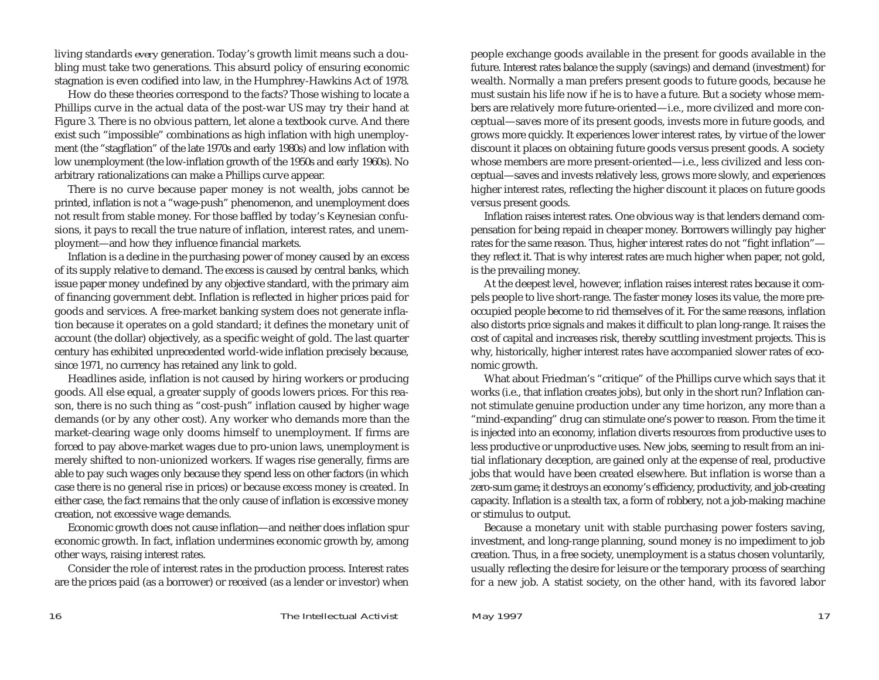living standards *every* generation. Today's growth limit means such a doubling must take two generations. This absurd policy of ensuring economic stagnation is even codified into law, in the Humphrey-Hawkins Act of 1978.

How do these theories correspond to the facts? Those wishing to locate a Phillips curve in the actual data of the post-war US may try their hand at Figure 3. There is no obvious pattern, let alone a textbook curve. And there exist such "impossible" combinations as high inflation with high unemployment (the "stagflation" of the late 1970s and early 1980s) and low inflation with low unemployment (the low-inflation growth of the 1950s and early 1960s). No arbitrary rationalizations can make a Phillips curve appear.

There is no curve because paper money is not wealth, jobs cannot be printed, inflation is not a "wage-push" phenomenon, and unemployment does not result from stable money. For those baffled by today's Keynesian confusions, it pays to recall the true nature of inflation, interest rates, and unemployment—and how they influence financial markets.

Inflation is a decline in the purchasing power of money caused by an excess of its supply relative to demand. The excess is caused by central banks, which issue paper money undefined by any objective standard, with the primary aim of financing government debt. Inflation is reflected in higher prices paid for goods and services. A free-market banking system does not generate inflation because it operates on a gold standard; it defines the monetary unit of account (the dollar) objectively, as a specific weight of gold. The last quarter century has exhibited unprecedented world-wide inflation precisely because, since 1971, no currency has retained any link to gold.

Headlines aside, inflation is not caused by hiring workers or producing goods. All else equal, a greater supply of goods lowers prices. For this reason, there is no such thing as "cost-push" inflation caused by higher wage demands (or by any other cost). Any worker who demands more than the market-clearing wage only dooms himself to unemployment. If firms are forced to pay above-market wages due to pro-union laws, unemployment is merely shifted to non-unionized workers. If wages rise generally, firms are able to pay such wages only because they spend less on other factors (in which case there is no general rise in prices) or because excess money is created. In either case, the fact remains that the only cause of inflation is excessive money creation, not excessive wage demands.

Economic growth does not cause inflation—and neither does inflation spur economic growth. In fact, inflation undermines economic growth by, among other ways, raising interest rates.

Consider the role of interest rates in the production process. Interest rates are the prices paid (as a borrower) or received (as a lender or investor) when people exchange goods available in the present for goods available in the future. Interest rates balance the supply (savings) and demand (investment) for wealth. Normally a man prefers present goods to future goods, because he must sustain his life now if he is to have a future. But a society whose members are relatively more future-oriented—i.e., more civilized and more conceptual—saves more of its present goods, invests more in future goods, and grows more quickly. It experiences lower interest rates, by virtue of the lower discount it places on obtaining future goods versus present goods. A society whose members are more present-oriented—i.e., less civilized and less conceptual—saves and invests relatively less, grows more slowly, and experiences higher interest rates, reflecting the higher discount it places on future goods versus present goods.

Inflation raises interest rates. One obvious way is that lenders demand compensation for being repaid in cheaper money. Borrowers willingly pay higher rates for the same reason. Thus, higher interest rates do not "fight inflation" they reflect it. That is why interest rates are much higher when paper, not gold, is the prevailing money.

At the deepest level, however, inflation raises interest rates because it compels people to live short-range. The faster money loses its value, the more preoccupied people become to rid themselves of it. For the same reasons, inflation also distorts price signals and makes it difficult to plan long-range. It raises the cost of capital and increases risk, thereby scuttling investment projects. This is why, historically, higher interest rates have accompanied slower rates of economic growth.

What about Friedman's "critique" of the Phillips curve which says that it works (i.e., that inflation creates jobs), but only in the short run? Inflation cannot stimulate genuine production under any time horizon, any more than a "mind-expanding" drug can stimulate one's power to reason. From the time it is injected into an economy, inflation diverts resources from productive uses to less productive or unproductive uses. New jobs, seeming to result from an initial inflationary deception, are gained only at the expense of real, productive jobs that would have been created elsewhere. But inflation is worse than a zero-sum game; it destroys an economy's efficiency, productivity, and job-creating capacity. Inflation is a stealth tax, a form of robbery, not a job-making machine or stimulus to output.

Because a monetary unit with stable purchasing power fosters saving, investment, and long-range planning, sound money is no impediment to job creation. Thus, in a free society, unemployment is a status chosen voluntarily, usually reflecting the desire for leisure or the temporary process of searching for a new job. A statist society, on the other hand, with its favored labor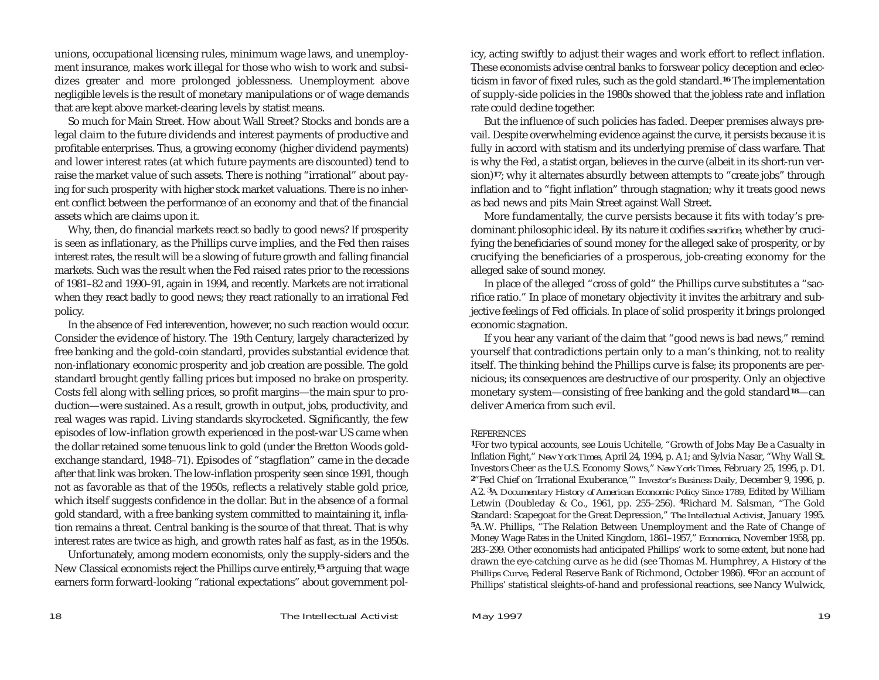unions, occupational licensing rules, minimum wage laws, and unemployment insurance, makes work illegal for those who wish to work and subsidizes greater and more prolonged joblessness. Unemployment above negligible levels is the result of monetary manipulations or of wage demands that are kept above market-clearing levels by statist means.

So much for Main Street. How about Wall Street? Stocks and bonds are a legal claim to the future dividends and interest payments of productive and profitable enterprises. Thus, a growing economy (higher dividend payments) and lower interest rates (at which future payments are discounted) tend to raise the market value of such assets. There is nothing "irrational" about paying for such prosperity with higher stock market valuations. There is no inherent conflict between the performance of an economy and that of the financial assets which are claims upon it.

Why, then, do financial markets react so badly to good news? If prosperity is seen as inflationary, as the Phillips curve implies, and the Fed then raises interest rates, the result will be a slowing of future growth and falling financial markets. Such was the result when the Fed raised rates prior to the recessions of 1981–82 and 1990–91, again in 1994, and recently. Markets are not irrational when they react badly to good news; they react rationally to an irrational Fed policy.

In the absence of Fed interevention, however, no such reaction would occur. Consider the evidence of history. The 19th Century, largely characterized by free banking and the gold-coin standard, provides substantial evidence that non-inflationary economic prosperity and job creation are possible. The gold standard brought gently falling prices but imposed no brake on prosperity. Costs fell along with selling prices, so profit margins—the main spur to production—were sustained. As a result, growth in output, jobs, productivity, and real wages was rapid. Living standards skyrocketed. Significantly, the few episodes of low-inflation growth experienced in the post-war US came when the dollar retained some tenuous link to gold (under the Bretton Woods goldexchange standard, 1948–71). Episodes of "stagflation" came in the decade after that link was broken. The low-inflation prosperity seen since 1991, though not as favorable as that of the 1950s, reflects a relatively stable gold price, which itself suggests confidence in the dollar. But in the absence of a formal gold standard, with a free banking system committed to maintaining it, inflation remains a threat. Central banking is the source of that threat. That is why interest rates are twice as high, and growth rates half as fast, as in the 1950s.

Unfortunately, among modern economists, only the supply-siders and the New Classical economists reject the Phillips curve entirely,**<sup>15</sup>** arguing that wage earners form forward-looking "rational expectations" about government policy, acting swiftly to adjust their wages and work effort to reflect inflation. These economists advise central banks to forswear policy deception and eclecticism in favor of fixed rules, such as the gold standard.**<sup>16</sup>** The implementation of supply-side policies in the 1980s showed that the jobless rate and inflation rate could decline together.

But the influence of such policies has faded. Deeper premises always prevail. Despite overwhelming evidence against the curve, it persists because it is fully in accord with statism and its underlying premise of class warfare. That is why the Fed, a statist organ, believes in the curve (albeit in its short-run version)<sup>17</sup>; why it alternates absurdly between attempts to "create jobs" through inflation and to "fight inflation" through stagnation; why it treats good news as bad news and pits Main Street against Wall Street.

More fundamentally, the curve persists because it fits with today's predominant philosophic ideal. By its nature it codifies *sacrifice,* whether by crucifying the beneficiaries of sound money for the alleged sake of prosperity, or by crucifying the beneficiaries of a prosperous, job-creating economy for the alleged sake of sound money.

In place of the alleged "cross of gold" the Phillips curve substitutes a "sacrifice ratio." In place of monetary objectivity it invites the arbitrary and subjective feelings of Fed officials. In place of solid prosperity it brings prolonged economic stagnation.

If you hear any variant of the claim that "good news is bad news," remind yourself that contradictions pertain only to a man's thinking, not to reality itself. The thinking behind the Phillips curve is false; its proponents are pernicious; its consequences are destructive of our prosperity. Only an objective monetary system—consisting of free banking and the gold standard**<sup>18</sup>**—can deliver America from such evil.

## **REFERENCES**

**<sup>1</sup>**For two typical accounts, see Louis Uchitelle, "Growth of Jobs May Be a Casualty in Inflation Fight," *New York Times,* April 24, 1994, p. A1; and Sylvia Nasar, "Why Wall St. Investors Cheer as the U.S. Economy Slows," *New York Times,* February 25, 1995, p. D1. **<sup>2</sup>**"Fed Chief on 'Irrational Exuberance,'" *Investor's Business Daily,* December 9, 1996, p. A2. **<sup>3</sup>***A Documentary History of American Economic Policy Since 1789,* Edited by William Letwin (Doubleday & Co., 1961, pp. 255–256). **<sup>4</sup>**Richard M. Salsman, "The Gold Standard: Scapegoat for the Great Depression," *The Intellectual Activist,* January 1995. **<sup>5</sup>**A.W. Phillips, "The Relation Between Unemployment and the Rate of Change of Money Wage Rates in the United Kingdom, 1861–1957," *Economica,* November 1958, pp. 283–299. Other economists had anticipated Phillips' work to some extent, but none had drawn the eye-catching curve as he did (see Thomas M. Humphrey, *A History of the Phillips Curve*, Federal Reserve Bank of Richmond, October 1986). **<sup>6</sup>**For an account of Phillips' statistical sleights-of-hand and professional reactions, see Nancy Wulwick,